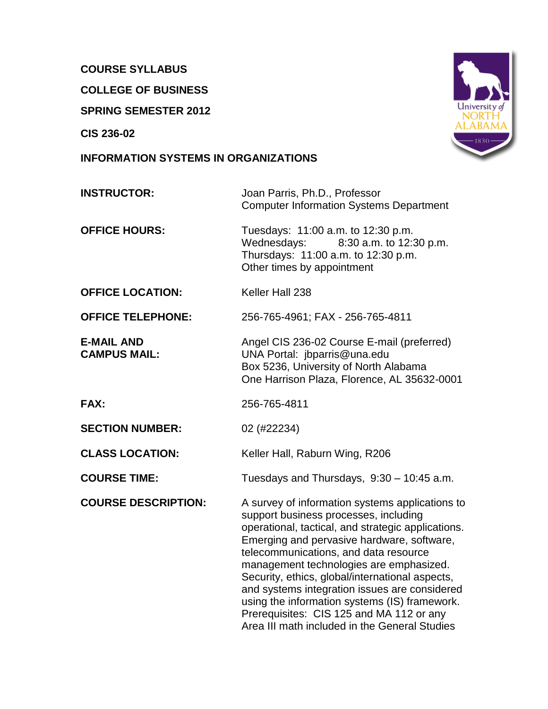# **COURSE SYLLABUS**

**COLLEGE OF BUSINESS**

**SPRING SEMESTER 2012**

**CIS 236-02**

### **INFORMATION SYSTEMS IN ORGANIZATIONS**



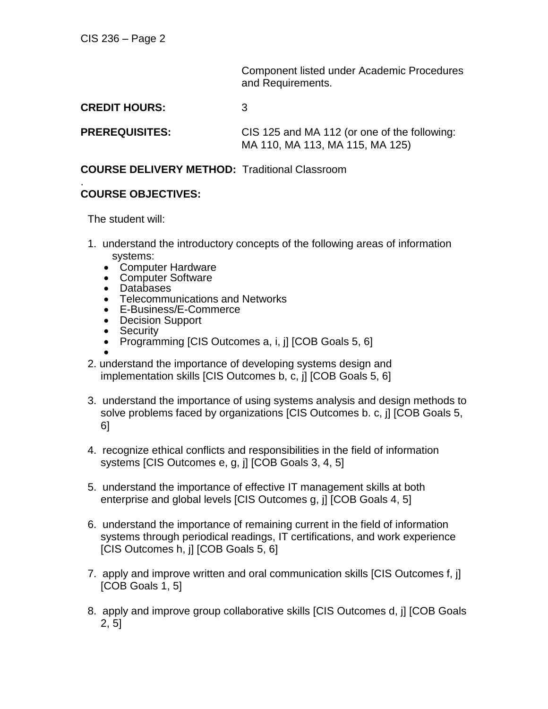Component listed under Academic Procedures and Requirements.

**CREDIT HOURS:** 3

**PREREQUISITES:** CIS 125 and MA 112 (or one of the following: MA 110, MA 113, MA 115, MA 125)

#### **COURSE DELIVERY METHOD:** Traditional Classroom

#### . **COURSE OBJECTIVES:**

The student will:

- 1. understand the introductory concepts of the following areas of information systems:
	- Computer Hardware
	- Computer Software
	- Databases
	- Telecommunications and Networks
	- E-Business/E-Commerce
	- Decision Support
	- Security
	- Programming [CIS Outcomes a, i, j] [COB Goals 5, 6]  $\bullet$
- 2. understand the importance of developing systems design and implementation skills [CIS Outcomes b, c, j] [COB Goals 5, 6]
- 3. understand the importance of using systems analysis and design methods to solve problems faced by organizations [CIS Outcomes b. c, j] [COB Goals 5, 6]
- 4. recognize ethical conflicts and responsibilities in the field of information systems [CIS Outcomes e, g, j] [COB Goals 3, 4, 5]
- 5. understand the importance of effective IT management skills at both enterprise and global levels [CIS Outcomes g, j] [COB Goals 4, 5]
- 6. understand the importance of remaining current in the field of information systems through periodical readings, IT certifications, and work experience [CIS Outcomes h, j] [COB Goals 5, 6]
- 7. apply and improve written and oral communication skills [CIS Outcomes f, j] [COB Goals 1, 5]
- 8. apply and improve group collaborative skills [CIS Outcomes d, j] [COB Goals 2, 5]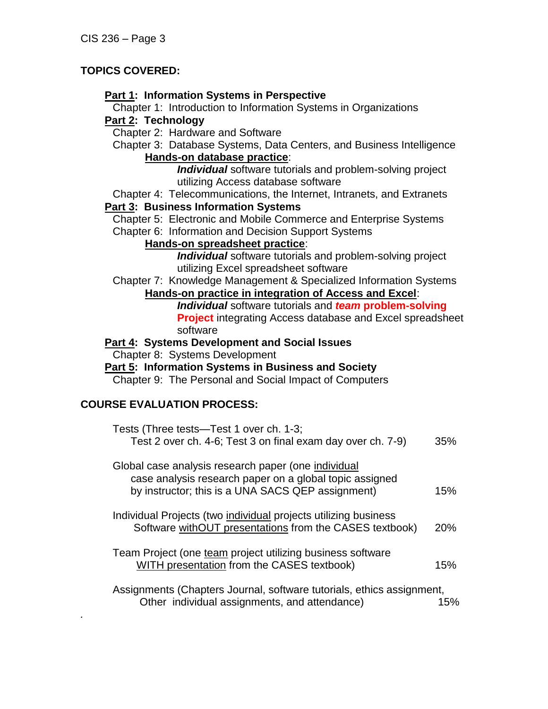# **TOPICS COVERED:**

### **Part 1: Information Systems in Perspective**

Chapter 1: Introduction to Information Systems in Organizations **Part 2: Technology**

Chapter 2: Hardware and Software

Chapter 3: Database Systems, Data Centers, and Business Intelligence **Hands-on database practice**:

*Individual* software tutorials and problem-solving project utilizing Access database software

Chapter 4: Telecommunications, the Internet, Intranets, and Extranets **Part 3: Business Information Systems**

Chapter 5: Electronic and Mobile Commerce and Enterprise Systems

Chapter 6: Information and Decision Support Systems

### **Hands-on spreadsheet practice**:

*Individual* software tutorials and problem-solving project utilizing Excel spreadsheet software

Chapter 7: Knowledge Management & Specialized Information Systems **Hands-on practice in integration of Access and Excel**:

*Individual* software tutorials and *team* **problem-solving Project** integrating Access database and Excel spreadsheet software

**Part 4: Systems Development and Social Issues**

Chapter 8: Systems Development

**Part 5: Information Systems in Business and Society**

Chapter 9: The Personal and Social Impact of Computers

# **COURSE EVALUATION PROCESS:**

*.*

| Tests (Three tests—Test 1 over ch. 1-3;<br>Test 2 over ch. 4-6; Test 3 on final exam day over ch. 7-9)                                                              | 35% |
|---------------------------------------------------------------------------------------------------------------------------------------------------------------------|-----|
| Global case analysis research paper (one individual<br>case analysis research paper on a global topic assigned<br>by instructor; this is a UNA SACS QEP assignment) | 15% |
| Individual Projects (two individual projects utilizing business<br>Software withOUT presentations from the CASES textbook)                                          | 20% |
| Team Project (one team project utilizing business software<br>WITH presentation from the CASES textbook)                                                            | 15% |
| Assignments (Chapters Journal, software tutorials, ethics assignment,<br>Other individual assignments, and attendance)                                              | 15% |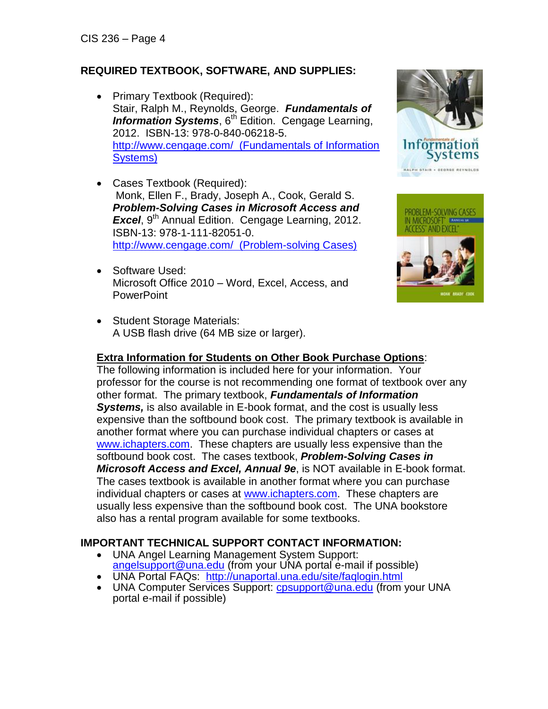# **REQUIRED TEXTBOOK, SOFTWARE, AND SUPPLIES:**

- Primary Textbook (Required): Stair, Ralph M., Reynolds, George. *Fundamentals of*  **Information Systems**, 6<sup>th</sup> Edition. Cengage Learning, 2012. ISBN-13: 978-0-840-06218-5. [http://www.cengage.com/ \(Fundamentals of Information](http://www.cengage.com/%20%20(Fundamentals%20of%20Information%20Systems))  [Systems\)](http://www.cengage.com/%20%20(Fundamentals%20of%20Information%20Systems))
- Cases Textbook (Required): Monk, Ellen F., Brady, Joseph A., Cook, Gerald S. *Problem-Solving Cases in Microsoft Access and*  Excel, 9<sup>th</sup> Annual Edition. Cengage Learning, 2012. ISBN-13: 978-1-111-82051-0. [http://www.cengage.com/ \(Problem-solving Cases\)](http://www.cengage.com/cgi-wadsworth/course_products_wp.pl?fid=M20bI&product_isbn_issn=9781111820510)
- Software Used: Microsoft Office 2010 – Word, Excel, Access, and **PowerPoint**
- Student Storage Materials: A USB flash drive (64 MB size or larger).

# **Extra Information for Students on Other Book Purchase Options**:

The following information is included here for your information. Your professor for the course is not recommending one format of textbook over any other format. The primary textbook, *Fundamentals of Information Systems,* is also available in E-book format, and the cost is usually less expensive than the softbound book cost. The primary textbook is available in another format where you can purchase individual chapters or cases at [www.ichapters.com.](http://www.ichapters.com/) These chapters are usually less expensive than the softbound book cost. The cases textbook, *Problem-Solving Cases in Microsoft Access and Excel, Annual 9e*, is NOT available in E-book format. The cases textbook is available in another format where you can purchase individual chapters or cases at [www.ichapters.com.](http://www.ichapters.com/) These chapters are usually less expensive than the softbound book cost. The UNA bookstore also has a rental program available for some textbooks.

# **IMPORTANT TECHNICAL SUPPORT CONTACT INFORMATION:**

- UNA Angel Learning Management System Support: [angelsupport@una.edu](mailto:angelsupport@una.edu) (from your UNA portal e-mail if possible)
- UNA Portal FAQs: <http://unaportal.una.edu/site/faqlogin.html>
- UNA Computer Services Support: [cpsupport@una.edu](mailto:cpsupport@una.edu) (from your UNA portal e-mail if possible)



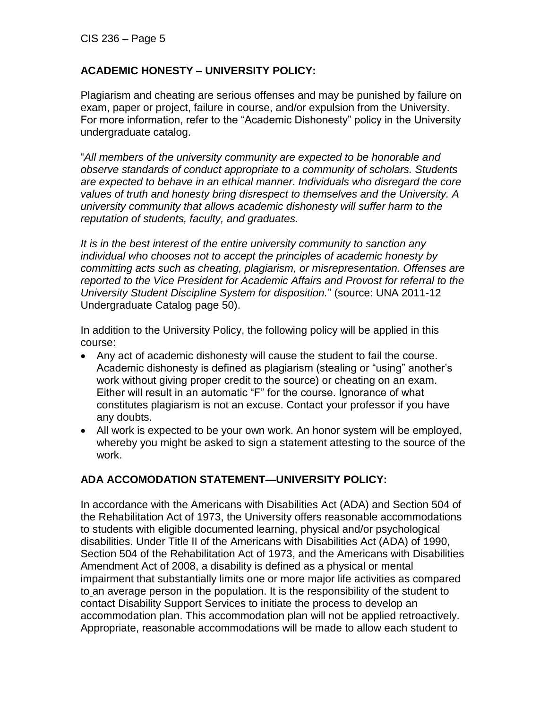# **ACADEMIC HONESTY – UNIVERSITY POLICY:**

Plagiarism and cheating are serious offenses and may be punished by failure on exam, paper or project, failure in course, and/or expulsion from the University. For more information, refer to the "Academic Dishonesty" policy in the University undergraduate catalog.

"*All members of the university community are expected to be honorable and observe standards of conduct appropriate to a community of scholars. Students are expected to behave in an ethical manner. Individuals who disregard the core values of truth and honesty bring disrespect to themselves and the University. A university community that allows academic dishonesty will suffer harm to the reputation of students, faculty, and graduates.* 

*It is in the best interest of the entire university community to sanction any individual who chooses not to accept the principles of academic honesty by committing acts such as cheating, plagiarism, or misrepresentation. Offenses are reported to the Vice President for Academic Affairs and Provost for referral to the University Student Discipline System for disposition.*" (source: UNA 2011-12 Undergraduate Catalog page 50).

In addition to the University Policy, the following policy will be applied in this course:

- Any act of academic dishonesty will cause the student to fail the course. Academic dishonesty is defined as plagiarism (stealing or "using" another's work without giving proper credit to the source) or cheating on an exam. Either will result in an automatic "F" for the course. Ignorance of what constitutes plagiarism is not an excuse. Contact your professor if you have any doubts.
- All work is expected to be your own work. An honor system will be employed, whereby you might be asked to sign a statement attesting to the source of the work.

# **ADA ACCOMODATION STATEMENT—UNIVERSITY POLICY:**

In accordance with the Americans with Disabilities Act (ADA) and Section 504 of the Rehabilitation Act of 1973, the University offers reasonable accommodations to students with eligible documented learning, physical and/or psychological disabilities. Under Title II of the Americans with Disabilities Act (ADA) of 1990, Section 504 of the Rehabilitation Act of 1973, and the Americans with Disabilities Amendment Act of 2008, a disability is defined as a physical or mental impairment that substantially limits one or more major life activities as compared to an average person in the population. It is the responsibility of the student to contact Disability Support Services to initiate the process to develop an accommodation plan. This accommodation plan will not be applied retroactively. Appropriate, reasonable accommodations will be made to allow each student to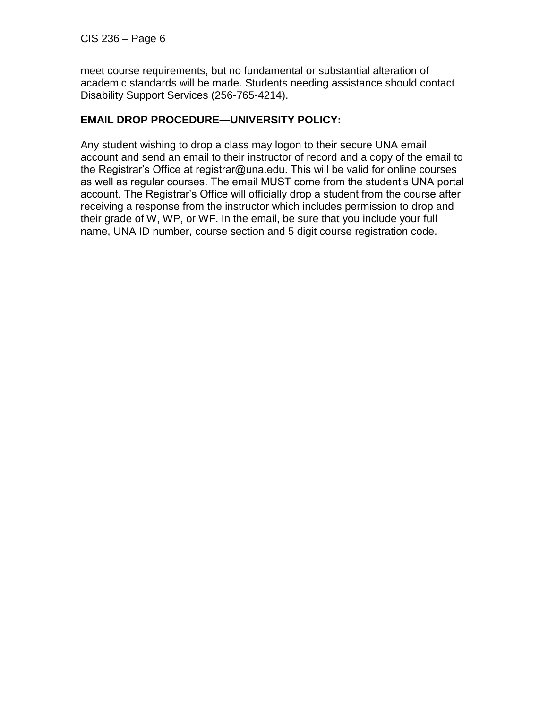meet course requirements, but no fundamental or substantial alteration of academic standards will be made. Students needing assistance should contact Disability Support Services (256-765-4214).

# **EMAIL DROP PROCEDURE—UNIVERSITY POLICY:**

Any student wishing to drop a class may logon to their secure UNA email account and send an email to their instructor of record and a copy of the email to the Registrar's Office at registrar@una.edu. This will be valid for online courses as well as regular courses. The email MUST come from the student's UNA portal account. The Registrar's Office will officially drop a student from the course after receiving a response from the instructor which includes permission to drop and their grade of W, WP, or WF. In the email, be sure that you include your full name, UNA ID number, course section and 5 digit course registration code.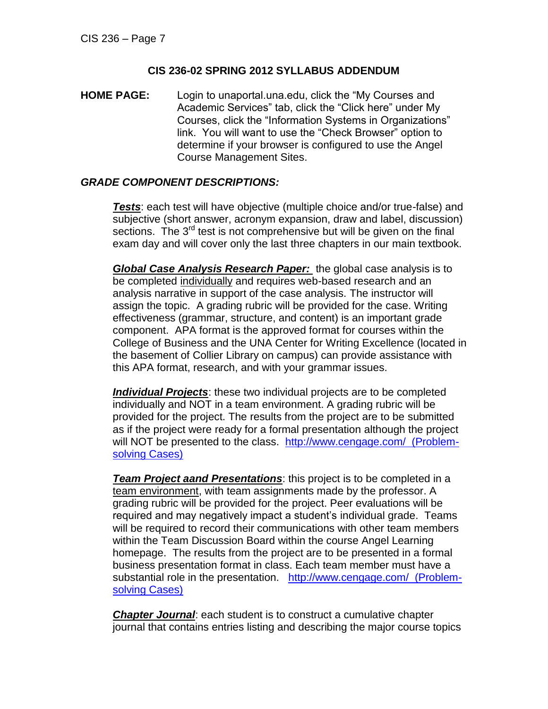#### **CIS 236-02 SPRING 2012 SYLLABUS ADDENDUM**

**HOME PAGE:** Login to unaportal.una.edu, click the "My Courses and Academic Services" tab, click the "Click here" under My Courses, click the "Information Systems in Organizations" link. You will want to use the "Check Browser" option to determine if your browser is configured to use the Angel Course Management Sites.

#### *GRADE COMPONENT DESCRIPTIONS:*

*Tests*: each test will have objective (multiple choice and/or true-false) and subjective (short answer, acronym expansion, draw and label, discussion) sections. The  $3<sup>rd</sup>$  test is not comprehensive but will be given on the final exam day and will cover only the last three chapters in our main textbook.

*Global Case Analysis Research Paper:* the global case analysis is to be completed individually and requires web-based research and an analysis narrative in support of the case analysis. The instructor will assign the topic. A grading rubric will be provided for the case. Writing effectiveness (grammar, structure, and content) is an important grade component. APA format is the approved format for courses within the College of Business and the UNA Center for Writing Excellence (located in the basement of Collier Library on campus) can provide assistance with this APA format, research, and with your grammar issues.

*Individual Projects*: these two individual projects are to be completed individually and NOT in a team environment. A grading rubric will be provided for the project. The results from the project are to be submitted as if the project were ready for a formal presentation although the project will NOT be presented to the class. [http://www.cengage.com/ \(Problem](http://www.cengage.com/cgi-wadsworth/course_products_wp.pl?fid=M20bI&product_isbn_issn=9781111820510)[solving Cases\)](http://www.cengage.com/cgi-wadsworth/course_products_wp.pl?fid=M20bI&product_isbn_issn=9781111820510)

*Team Project aand Presentations*: this project is to be completed in a team environment, with team assignments made by the professor. A grading rubric will be provided for the project. Peer evaluations will be required and may negatively impact a student's individual grade. Teams will be required to record their communications with other team members within the Team Discussion Board within the course Angel Learning homepage. The results from the project are to be presented in a formal business presentation format in class. Each team member must have a substantial role in the presentation. [http://www.cengage.com/ \(Problem](http://www.cengage.com/cgi-wadsworth/course_products_wp.pl?fid=M20bI&product_isbn_issn=9781111820510)[solving Cases\)](http://www.cengage.com/cgi-wadsworth/course_products_wp.pl?fid=M20bI&product_isbn_issn=9781111820510)

*Chapter Journal*: each student is to construct a cumulative chapter journal that contains entries listing and describing the major course topics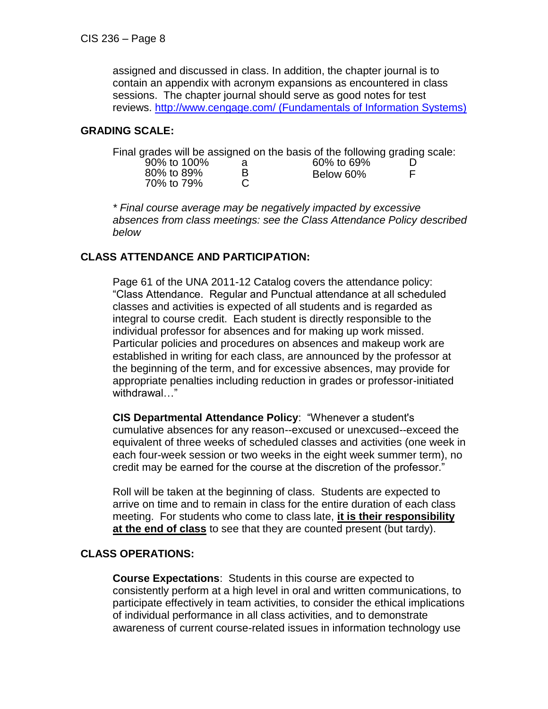assigned and discussed in class. In addition, the chapter journal is to contain an appendix with acronym expansions as encountered in class sessions. The chapter journal should serve as good notes for test reviews. [http://www.cengage.com/ \(Fundamentals of Information Systems\)](http://www.cengage.com/search/productOverview.do?Ntt=9780840062185||9780840062185&Ntk=all||P_Isbn13&N=+16)

### **GRADING SCALE:**

|             |   | Final grades will be assigned on the basis of the following grading scale: |  |
|-------------|---|----------------------------------------------------------------------------|--|
| 90% to 100% |   | 60% to 69%                                                                 |  |
| 80% to 89%  | в | Below 60%                                                                  |  |
| 70% to 79%  |   |                                                                            |  |

*\* Final course average may be negatively impacted by excessive absences from class meetings: see the Class Attendance Policy described below*

# **CLASS ATTENDANCE AND PARTICIPATION:**

Page 61 of the UNA 2011-12 Catalog covers the attendance policy: "Class Attendance. Regular and Punctual attendance at all scheduled classes and activities is expected of all students and is regarded as integral to course credit. Each student is directly responsible to the individual professor for absences and for making up work missed. Particular policies and procedures on absences and makeup work are established in writing for each class, are announced by the professor at the beginning of the term, and for excessive absences, may provide for appropriate penalties including reduction in grades or professor-initiated withdrawal…"

**CIS Departmental Attendance Policy**: "Whenever a student's cumulative absences for any reason--excused or unexcused--exceed the equivalent of three weeks of scheduled classes and activities (one week in each four-week session or two weeks in the eight week summer term), no credit may be earned for the course at the discretion of the professor."

Roll will be taken at the beginning of class. Students are expected to arrive on time and to remain in class for the entire duration of each class meeting. For students who come to class late, **it is their responsibility at the end of class** to see that they are counted present (but tardy).

#### **CLASS OPERATIONS:**

**Course Expectations**: Students in this course are expected to consistently perform at a high level in oral and written communications, to participate effectively in team activities, to consider the ethical implications of individual performance in all class activities, and to demonstrate awareness of current course-related issues in information technology use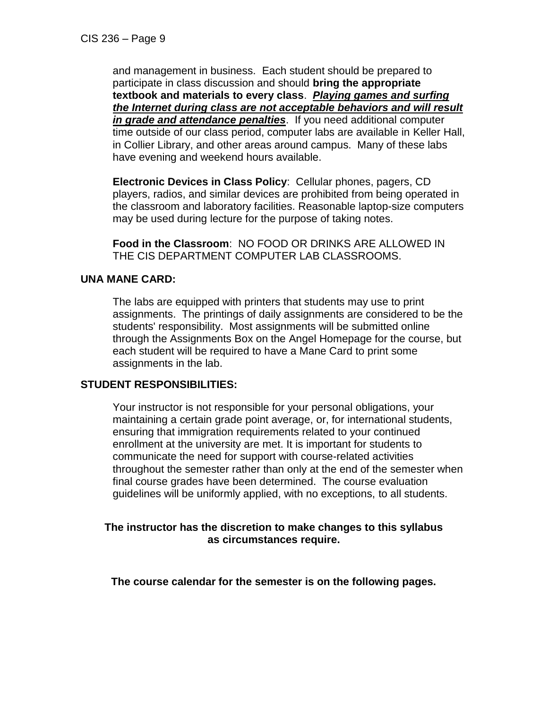and management in business. Each student should be prepared to participate in class discussion and should **bring the appropriate textbook and materials to every class**. *Playing games and surfing the Internet during class are not acceptable behaviors and will result in grade and attendance penalties*. If you need additional computer time outside of our class period, computer labs are available in Keller Hall, in Collier Library, and other areas around campus. Many of these labs have evening and weekend hours available.

**Electronic Devices in Class Policy**: Cellular phones, pagers, CD players, radios, and similar devices are prohibited from being operated in the classroom and laboratory facilities. Reasonable laptop-size computers may be used during lecture for the purpose of taking notes.

**Food in the Classroom**: NO FOOD OR DRINKS ARE ALLOWED IN THE CIS DEPARTMENT COMPUTER LAB CLASSROOMS.

### **UNA MANE CARD:**

The labs are equipped with printers that students may use to print assignments. The printings of daily assignments are considered to be the students' responsibility. Most assignments will be submitted online through the Assignments Box on the Angel Homepage for the course, but each student will be required to have a Mane Card to print some assignments in the lab.

#### **STUDENT RESPONSIBILITIES:**

Your instructor is not responsible for your personal obligations, your maintaining a certain grade point average, or, for international students, ensuring that immigration requirements related to your continued enrollment at the university are met. It is important for students to communicate the need for support with course-related activities throughout the semester rather than only at the end of the semester when final course grades have been determined. The course evaluation guidelines will be uniformly applied, with no exceptions, to all students.

### **The instructor has the discretion to make changes to this syllabus as circumstances require.**

**The course calendar for the semester is on the following pages.**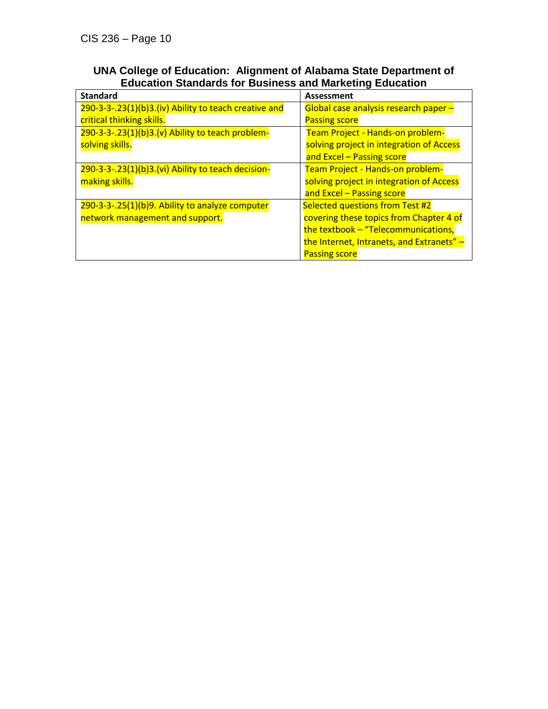| UNA College of Education: Alignment of Alabama State Department of |  |
|--------------------------------------------------------------------|--|
| <b>Education Standards for Business and Marketing Education</b>    |  |

| <b>Standard</b>                                       | Assessment                                |
|-------------------------------------------------------|-------------------------------------------|
| 290-3-3-.23(1)(b)3.(iv) Ability to teach creative and | Global case analysis research paper -     |
| critical thinking skills.                             | <b>Passing score</b>                      |
| $290-3-3-.23(1)(b)3.(v)$ Ability to teach problem-    | Team Project - Hands-on problem-          |
| solving skills.                                       | solving project in integration of Access  |
|                                                       | and Excel - Passing score                 |
| 290-3-3-.23(1)(b)3.(vi) Ability to teach decision-    | Team Project - Hands-on problem-          |
| making skills.                                        | solving project in integration of Access  |
|                                                       | and Excel - Passing score                 |
| 290-3-3-.25(1)(b)9. Ability to analyze computer       | Selected questions from Test #2           |
| network management and support.                       | covering these topics from Chapter 4 of   |
|                                                       | the textbook - "Telecommunications,       |
|                                                       | the Internet, Intranets, and Extranets" - |
|                                                       | <b>Passing score</b>                      |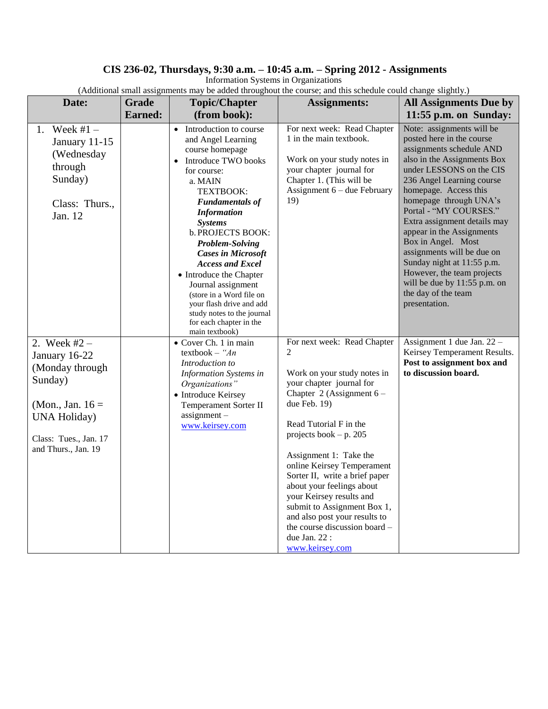#### **CIS 236-02, Thursdays, 9:30 a.m. – 10:45 a.m. – Spring 2012 - Assignments**

Information Systems in Organizations

| Date:                                                                                                                                                       |                         |                                                                                                                                                                                                                                                                                                                                                                                                                                                                                  | (Additional sinali assignments may be added un'oughout the course; and this schedule could change slightly.)                                                                                                                                                                                                                                                                                                                                                                               |                                                                                                                                                                                                                                                                                                                                                                                                                                                                                                              |
|-------------------------------------------------------------------------------------------------------------------------------------------------------------|-------------------------|----------------------------------------------------------------------------------------------------------------------------------------------------------------------------------------------------------------------------------------------------------------------------------------------------------------------------------------------------------------------------------------------------------------------------------------------------------------------------------|--------------------------------------------------------------------------------------------------------------------------------------------------------------------------------------------------------------------------------------------------------------------------------------------------------------------------------------------------------------------------------------------------------------------------------------------------------------------------------------------|--------------------------------------------------------------------------------------------------------------------------------------------------------------------------------------------------------------------------------------------------------------------------------------------------------------------------------------------------------------------------------------------------------------------------------------------------------------------------------------------------------------|
|                                                                                                                                                             | Grade<br><b>Earned:</b> | <b>Topic/Chapter</b>                                                                                                                                                                                                                                                                                                                                                                                                                                                             | <b>Assignments:</b>                                                                                                                                                                                                                                                                                                                                                                                                                                                                        | <b>All Assignments Due by</b>                                                                                                                                                                                                                                                                                                                                                                                                                                                                                |
|                                                                                                                                                             |                         | (from book):                                                                                                                                                                                                                                                                                                                                                                                                                                                                     |                                                                                                                                                                                                                                                                                                                                                                                                                                                                                            | 11:55 p.m. on Sunday:                                                                                                                                                                                                                                                                                                                                                                                                                                                                                        |
| Week $#1 -$<br>1.<br>January 11-15<br>(Wednesday<br>through<br>Sunday)<br>Class: Thurs.,<br>Jan. 12                                                         |                         | • Introduction to course<br>and Angel Learning<br>course homepage<br>Introduce TWO books<br>$\bullet$<br>for course:<br>a. MAIN<br>TEXTBOOK:<br><b>Fundamentals of</b><br><b>Information</b><br><b>Systems</b><br>b. PROJECTS BOOK:<br>Problem-Solving<br><b>Cases in Microsoft</b><br><b>Access and Excel</b><br>• Introduce the Chapter<br>Journal assignment<br>(store in a Word file on<br>your flash drive and add<br>study notes to the journal<br>for each chapter in the | For next week: Read Chapter<br>1 in the main textbook.<br>Work on your study notes in<br>your chapter journal for<br>Chapter 1. (This will be<br>Assignment $6$ – due February<br>19)                                                                                                                                                                                                                                                                                                      | Note: assignments will be<br>posted here in the course<br>assignments schedule AND<br>also in the Assignments Box<br>under LESSONS on the CIS<br>236 Angel Learning course<br>homepage. Access this<br>homepage through UNA's<br>Portal - "MY COURSES."<br>Extra assignment details may<br>appear in the Assignments<br>Box in Angel. Most<br>assignments will be due on<br>Sunday night at 11:55 p.m.<br>However, the team projects<br>will be due by 11:55 p.m. on<br>the day of the team<br>presentation. |
| 2. Week $#2 -$<br>January 16-22<br>(Monday through<br>Sunday)<br>(Mon., Jan. $16 =$<br><b>UNA Holiday</b> )<br>Class: Tues., Jan. 17<br>and Thurs., Jan. 19 |                         | main textbook)<br>• Cover Ch. 1 in main<br>textbook $-$ "An<br>Introduction to<br><b>Information Systems in</b><br>Organizations"<br>• Introduce Keirsey<br>Temperament Sorter II<br>$assignment -$<br>www.keirsey.com                                                                                                                                                                                                                                                           | For next week: Read Chapter<br>2<br>Work on your study notes in<br>your chapter journal for<br>Chapter 2 (Assignment $6 -$<br>due Feb. 19)<br>Read Tutorial F in the<br>projects book $- p. 205$<br>Assignment 1: Take the<br>online Keirsey Temperament<br>Sorter II, write a brief paper<br>about your feelings about<br>your Keirsey results and<br>submit to Assignment Box 1,<br>and also post your results to<br>the course discussion board -<br>due Jan. $22$ :<br>www.keirsey.com | Assignment 1 due Jan. 22 -<br>Keirsey Temperament Results.<br>Post to assignment box and<br>to discussion board.                                                                                                                                                                                                                                                                                                                                                                                             |

(Additional small assignments may be added throughout the course; and this schedule could change slightly.)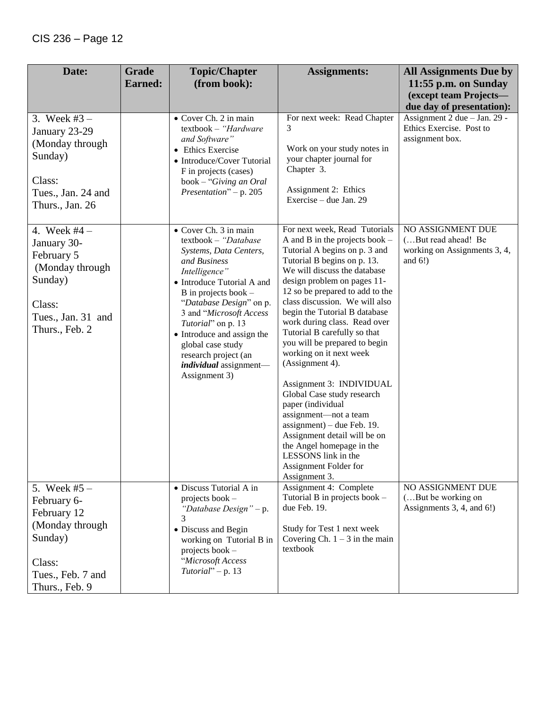| Date:                                                                                                                       | Grade          | <b>Topic/Chapter</b>                                                                                                                                                                                                                                                                                                                                                        | <b>Assignments:</b>                                                                                                                                                                                                                                                                                                                                                                                                                                                                                                                                                                                                                                                                                                         | <b>All Assignments Due by</b>                                                         |
|-----------------------------------------------------------------------------------------------------------------------------|----------------|-----------------------------------------------------------------------------------------------------------------------------------------------------------------------------------------------------------------------------------------------------------------------------------------------------------------------------------------------------------------------------|-----------------------------------------------------------------------------------------------------------------------------------------------------------------------------------------------------------------------------------------------------------------------------------------------------------------------------------------------------------------------------------------------------------------------------------------------------------------------------------------------------------------------------------------------------------------------------------------------------------------------------------------------------------------------------------------------------------------------------|---------------------------------------------------------------------------------------|
|                                                                                                                             | <b>Earned:</b> | (from book):                                                                                                                                                                                                                                                                                                                                                                |                                                                                                                                                                                                                                                                                                                                                                                                                                                                                                                                                                                                                                                                                                                             | 11:55 p.m. on Sunday                                                                  |
|                                                                                                                             |                |                                                                                                                                                                                                                                                                                                                                                                             |                                                                                                                                                                                                                                                                                                                                                                                                                                                                                                                                                                                                                                                                                                                             | (except team Projects-<br>due day of presentation):                                   |
| 3. Week $#3 -$<br>January 23-29<br>(Monday through<br>Sunday)<br>Class:<br>Tues., Jan. 24 and<br>Thurs., Jan. 26            |                | • Cover Ch. 2 in main<br>textbook - "Hardware<br>and Software"<br>• Ethics Exercise<br>• Introduce/Cover Tutorial<br>F in projects (cases)<br>book - "Giving an Oral<br>Presentation" – p. 205                                                                                                                                                                              | For next week: Read Chapter<br>3<br>Work on your study notes in<br>your chapter journal for<br>Chapter 3.<br>Assignment 2: Ethics<br>Exercise - due Jan. 29                                                                                                                                                                                                                                                                                                                                                                                                                                                                                                                                                                 | Assignment 2 due - Jan. 29 -<br>Ethics Exercise. Post to<br>assignment box.           |
| 4. Week $#4 -$<br>January 30-<br>February 5<br>(Monday through<br>Sunday)<br>Class:<br>Tues., Jan. 31 and<br>Thurs., Feb. 2 |                | • Cover Ch. 3 in main<br>textbook - "Database<br>Systems, Data Centers,<br>and Business<br>Intelligence"<br>• Introduce Tutorial A and<br>$B$ in projects book $-$<br>"Database Design" on p.<br>3 and "Microsoft Access<br>Tutorial" on p. 13<br>• Introduce and assign the<br>global case study<br>research project (an<br><i>individual</i> assignment-<br>Assignment 3) | For next week, Read Tutorials<br>A and B in the projects book $-$<br>Tutorial A begins on p. 3 and<br>Tutorial B begins on p. 13.<br>We will discuss the database<br>design problem on pages 11-<br>12 so be prepared to add to the<br>class discussion. We will also<br>begin the Tutorial B database<br>work during class. Read over<br>Tutorial B carefully so that<br>you will be prepared to begin<br>working on it next week<br>(Assignment 4).<br>Assignment 3: INDIVIDUAL<br>Global Case study research<br>paper (individual<br>assignment-not a team<br>$assignment)$ – due Feb. 19.<br>Assignment detail will be on<br>the Angel homepage in the<br>LESSONS link in the<br>Assignment Folder for<br>Assignment 3. | NO ASSIGNMENT DUE<br>(But read ahead! Be<br>working on Assignments 3, 4,<br>and $6!)$ |
| 5. Week $#5 -$<br>February 6-<br>February 12<br>(Monday through<br>Sunday)<br>Class:<br>Tues., Feb. 7 and<br>Thurs., Feb. 9 |                | • Discuss Tutorial A in<br>projects book -<br>"Database Design" – p.<br>3<br>• Discuss and Begin<br>working on Tutorial B in<br>projects book -<br>"Microsoft Access<br>Tutorial" $-$ p. 13                                                                                                                                                                                 | Assignment 4: Complete<br>Tutorial B in projects book -<br>due Feb. 19.<br>Study for Test 1 next week<br>Covering Ch. $1 - 3$ in the main<br>textbook                                                                                                                                                                                                                                                                                                                                                                                                                                                                                                                                                                       | <b>NO ASSIGNMENT DUE</b><br>(But be working on<br>Assignments 3, 4, and 6!)           |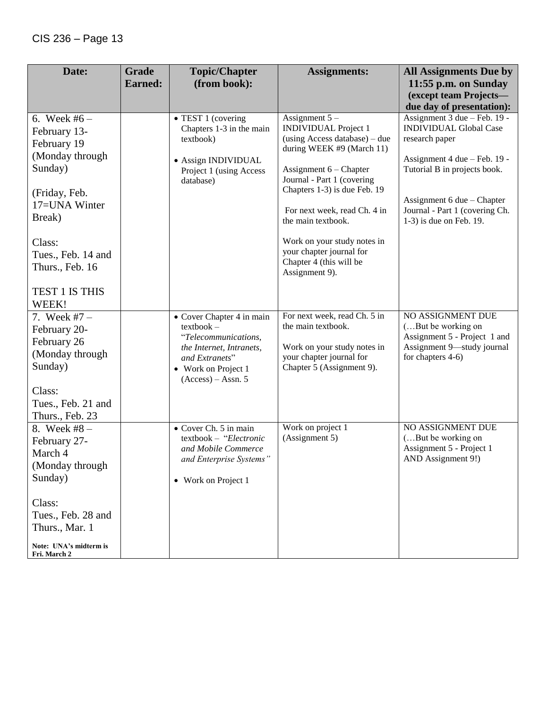| Date:                                                                                                                                                                      | Grade<br><b>Earned:</b> | <b>Topic/Chapter</b><br>(from book):                                                                                                                           | <b>Assignments:</b>                                                                                                                                                                                                                                                                                                                                                  | <b>All Assignments Due by</b><br>11:55 p.m. on Sunday                                                                                                                                                                                      |
|----------------------------------------------------------------------------------------------------------------------------------------------------------------------------|-------------------------|----------------------------------------------------------------------------------------------------------------------------------------------------------------|----------------------------------------------------------------------------------------------------------------------------------------------------------------------------------------------------------------------------------------------------------------------------------------------------------------------------------------------------------------------|--------------------------------------------------------------------------------------------------------------------------------------------------------------------------------------------------------------------------------------------|
|                                                                                                                                                                            |                         |                                                                                                                                                                |                                                                                                                                                                                                                                                                                                                                                                      | (except team Projects-<br>due day of presentation):                                                                                                                                                                                        |
| 6. Week $#6 -$<br>February 13-<br>February 19<br>(Monday through<br>Sunday)<br>(Friday, Feb.<br>17=UNA Winter<br>Break)<br>Class:<br>Tues., Feb. 14 and<br>Thurs., Feb. 16 |                         | • TEST 1 (covering<br>Chapters 1-3 in the main<br>textbook)<br>• Assign INDIVIDUAL<br>Project 1 (using Access<br>database)                                     | Assignment $5-$<br><b>INDIVIDUAL Project 1</b><br>(using Access database) - due<br>during WEEK #9 (March 11)<br>Assignment $6$ – Chapter<br>Journal - Part 1 (covering<br>Chapters 1-3) is due Feb. 19<br>For next week, read Ch. 4 in<br>the main textbook.<br>Work on your study notes in<br>your chapter journal for<br>Chapter 4 (this will be<br>Assignment 9). | Assignment 3 due - Feb. 19 -<br><b>INDIVIDUAL Global Case</b><br>research paper<br>Assignment 4 due - Feb. 19 -<br>Tutorial B in projects book.<br>Assignment 6 due – Chapter<br>Journal - Part 1 (covering Ch.<br>1-3) is due on Feb. 19. |
| TEST 1 IS THIS<br>WEEK!                                                                                                                                                    |                         |                                                                                                                                                                |                                                                                                                                                                                                                                                                                                                                                                      |                                                                                                                                                                                                                                            |
| 7. Week $#7 -$<br>February 20-<br>February 26<br>(Monday through<br>Sunday)<br>Class:<br>Tues., Feb. 21 and<br>Thurs., Feb. 23                                             |                         | • Cover Chapter 4 in main<br>$textbook -$<br>"Telecommunications,<br>the Internet, Intranets,<br>and Extranets"<br>• Work on Project 1<br>$(Access) - Assn. 5$ | For next week, read Ch. 5 in<br>the main textbook.<br>Work on your study notes in<br>your chapter journal for<br>Chapter 5 (Assignment 9).                                                                                                                                                                                                                           | NO ASSIGNMENT DUE<br>(But be working on<br>Assignment 5 - Project 1 and<br>Assignment 9-study journal<br>for chapters 4-6)                                                                                                                 |
| 8. Week $#8 -$<br>February 27-<br>March 4<br>(Monday through<br>Sunday)<br>Class:                                                                                          |                         | • Cover Ch. 5 in main<br>textbook - "Electronic<br>and Mobile Commerce<br>and Enterprise Systems"<br>• Work on Project 1                                       | Work on project 1<br>(Assignment 5)                                                                                                                                                                                                                                                                                                                                  | NO ASSIGNMENT DUE<br>(But be working on<br>Assignment 5 - Project 1<br>AND Assignment 9!)                                                                                                                                                  |
| Tues., Feb. 28 and<br>Thurs., Mar. 1<br>Note: UNA's midterm is<br>Fri. March 2                                                                                             |                         |                                                                                                                                                                |                                                                                                                                                                                                                                                                                                                                                                      |                                                                                                                                                                                                                                            |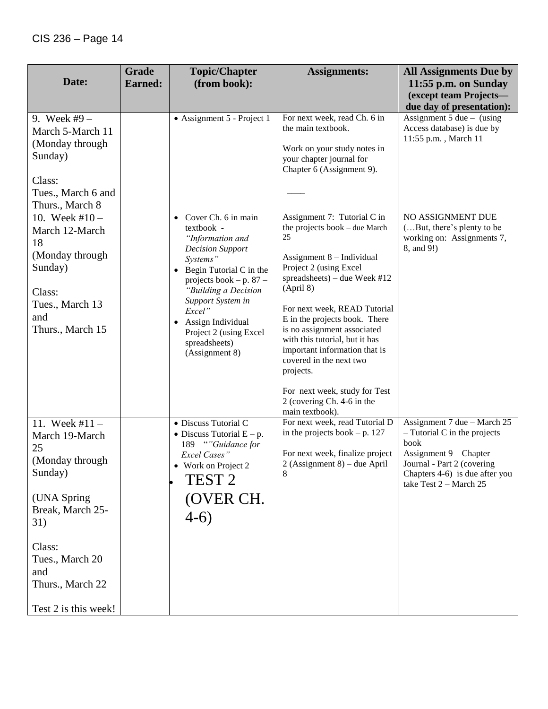|                                                                                                                                                                                                  | <b>Grade</b>   | <b>Topic/Chapter</b>                                                                                                                                                                                                                                                                                                 | <b>Assignments:</b>                                                                                                                                                                                                                                                                                                                                                                                                                              | <b>All Assignments Due by</b>                                                                                                                                                               |
|--------------------------------------------------------------------------------------------------------------------------------------------------------------------------------------------------|----------------|----------------------------------------------------------------------------------------------------------------------------------------------------------------------------------------------------------------------------------------------------------------------------------------------------------------------|--------------------------------------------------------------------------------------------------------------------------------------------------------------------------------------------------------------------------------------------------------------------------------------------------------------------------------------------------------------------------------------------------------------------------------------------------|---------------------------------------------------------------------------------------------------------------------------------------------------------------------------------------------|
| Date:                                                                                                                                                                                            | <b>Earned:</b> | (from book):                                                                                                                                                                                                                                                                                                         |                                                                                                                                                                                                                                                                                                                                                                                                                                                  | 11:55 p.m. on Sunday                                                                                                                                                                        |
|                                                                                                                                                                                                  |                |                                                                                                                                                                                                                                                                                                                      |                                                                                                                                                                                                                                                                                                                                                                                                                                                  | (except team Projects-                                                                                                                                                                      |
| 9. Week #9 $-$<br>March 5-March 11<br>(Monday through<br>Sunday)<br>Class:<br>Tues., March 6 and<br>Thurs., March 8                                                                              |                | • Assignment 5 - Project 1                                                                                                                                                                                                                                                                                           | For next week, read Ch. 6 in<br>the main textbook.<br>Work on your study notes in<br>your chapter journal for<br>Chapter 6 (Assignment 9).                                                                                                                                                                                                                                                                                                       | due day of presentation):<br>Assignment 5 due $-$ (using<br>Access database) is due by<br>11:55 p.m., March 11                                                                              |
| 10. Week $#10 -$<br>March 12-March<br>18<br>(Monday through<br>Sunday)<br>Class:<br>Tues., March 13<br>and<br>Thurs., March 15                                                                   |                | Cover Ch. 6 in main<br>textbook -<br>"Information and<br><b>Decision Support</b><br>Systems"<br>Begin Tutorial C in the<br>$\bullet$<br>projects book $-p.87-$<br>"Building a Decision<br>Support System in<br>Excel"<br>Assign Individual<br>$\bullet$<br>Project 2 (using Excel<br>spreadsheets)<br>(Assignment 8) | Assignment 7: Tutorial C in<br>the projects book – due March<br>25<br>Assignment 8 - Individual<br>Project 2 (using Excel<br>spreadsheets) – due Week #12<br>(April 8)<br>For next week, READ Tutorial<br>E in the projects book. There<br>is no assignment associated<br>with this tutorial, but it has<br>important information that is<br>covered in the next two<br>projects.<br>For next week, study for Test<br>2 (covering Ch. 4-6 in the | NO ASSIGNMENT DUE<br>(But, there's plenty to be<br>working on: Assignments 7,<br>8, and 9!)                                                                                                 |
| 11. Week $#11 -$<br>March 19-March<br>25<br>(Monday through<br>Sunday)<br>(UNA Spring<br>Break, March 25-<br>31)<br>Class:<br>Tues., March 20<br>and<br>Thurs., March 22<br>Test 2 is this week! |                | • Discuss Tutorial C<br>• Discuss Tutorial $E - p$ .<br>189 - ""Guidance for<br>Excel Cases"<br>• Work on Project 2<br>TEST <sub>2</sub><br>(OVER CH.<br>$4-6)$                                                                                                                                                      | main textbook).<br>For next week, read Tutorial D<br>in the projects book $-p$ . 127<br>For next week, finalize project<br>$2$ (Assignment 8) – due April                                                                                                                                                                                                                                                                                        | Assignment 7 due – March 25<br>$-$ Tutorial C in the projects<br>book<br>Assignment 9 – Chapter<br>Journal - Part 2 (covering<br>Chapters 4-6) is due after you<br>take Test $2 - March 25$ |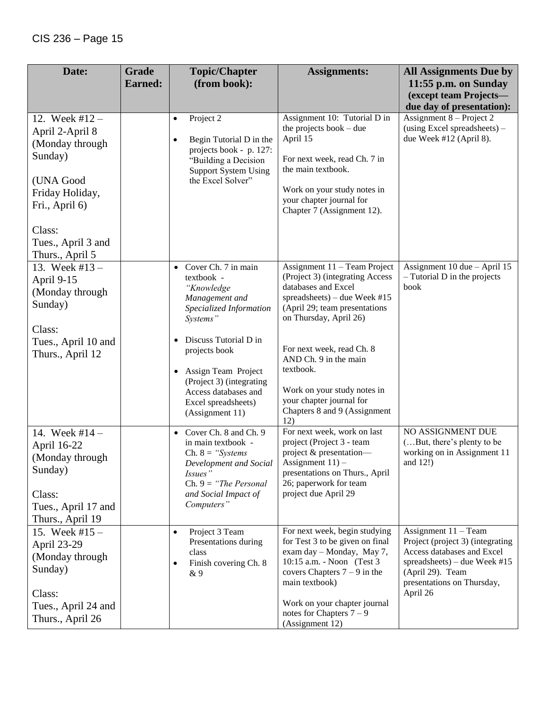| Date:                                                                                                                                               | <b>Grade</b><br><b>Earned:</b> | <b>Topic/Chapter</b><br>(from book):                                                                                                                                                                                                                                                              | <b>Assignments:</b>                                                                                                                                                                                                                                                                                                                             | <b>All Assignments Due by</b><br>11:55 p.m. on Sunday                                                                                                                                  |
|-----------------------------------------------------------------------------------------------------------------------------------------------------|--------------------------------|---------------------------------------------------------------------------------------------------------------------------------------------------------------------------------------------------------------------------------------------------------------------------------------------------|-------------------------------------------------------------------------------------------------------------------------------------------------------------------------------------------------------------------------------------------------------------------------------------------------------------------------------------------------|----------------------------------------------------------------------------------------------------------------------------------------------------------------------------------------|
|                                                                                                                                                     |                                |                                                                                                                                                                                                                                                                                                   |                                                                                                                                                                                                                                                                                                                                                 | (except team Projects-<br>due day of presentation):                                                                                                                                    |
| 12. Week $#12 -$<br>April 2-April 8<br>(Monday through<br>Sunday)<br>(UNA Good<br>Friday Holiday,<br>Fri., April 6)<br>Class:<br>Tues., April 3 and |                                | Project 2<br>$\bullet$<br>Begin Tutorial D in the<br>$\bullet$<br>projects book - p. 127:<br>"Building a Decision<br><b>Support System Using</b><br>the Excel Solver"                                                                                                                             | Assignment 10: Tutorial D in<br>the projects book $-$ due<br>April 15<br>For next week, read Ch. 7 in<br>the main textbook.<br>Work on your study notes in<br>your chapter journal for<br>Chapter 7 (Assignment 12).                                                                                                                            | Assignment $8$ – Project 2<br>(using Excel spreadsheets) -<br>due Week #12 (April 8).                                                                                                  |
| Thurs., April 5<br>13. Week #13 $-$<br>April 9-15<br>(Monday through<br>Sunday)<br>Class:<br>Tues., April 10 and<br>Thurs., April 12                |                                | Cover Ch. 7 in main<br>$\bullet$<br>textbook -<br>"Knowledge<br>Management and<br>Specialized Information<br>Systems"<br>Discuss Tutorial D in<br>projects book<br>Assign Team Project<br>$\bullet$<br>(Project 3) (integrating<br>Access databases and<br>Excel spreadsheets)<br>(Assignment 11) | Assignment 11 - Team Project<br>(Project 3) (integrating Access<br>databases and Excel<br>spreadsheets) – due Week #15<br>(April 29; team presentations<br>on Thursday, April 26)<br>For next week, read Ch. 8<br>AND Ch. 9 in the main<br>textbook.<br>Work on your study notes in<br>your chapter journal for<br>Chapters 8 and 9 (Assignment | Assignment 10 due - April 15<br>$-$ Tutorial D in the projects<br>book                                                                                                                 |
| 14. Week $#14 -$<br>April 16-22<br>(Monday through<br>Sunday)<br>Class:<br>Tues., April 17 and<br>Thurs., April 19                                  |                                | Cover Ch. 8 and Ch. 9<br>in main textbook -<br>Ch. $8 =$ "Systems"<br>Development and Social<br>Issues"<br>Ch. $9 =$ "The Personal"<br>and Social Impact of<br>Computers"                                                                                                                         | 12)<br>For next week, work on last<br>project (Project 3 - team<br>project & presentation-<br>Assignment $11$ ) –<br>presentations on Thurs., April<br>26; paperwork for team<br>project due April 29                                                                                                                                           | NO ASSIGNMENT DUE<br>(But, there's plenty to be<br>working on in Assignment 11<br>and $12!)$                                                                                           |
| 15. Week #15 $-$<br>April 23-29<br>(Monday through<br>Sunday)<br>Class:<br>Tues., April 24 and<br>Thurs., April 26                                  |                                | Project 3 Team<br>$\bullet$<br>Presentations during<br>class<br>Finish covering Ch. 8<br>$\bullet$<br>& 9                                                                                                                                                                                         | For next week, begin studying<br>for Test 3 to be given on final<br>exam day - Monday, May 7,<br>10:15 a.m. - Noon (Test 3)<br>covers Chapters $7 - 9$ in the<br>main textbook)<br>Work on your chapter journal<br>notes for Chapters $7 - 9$<br>(Assignment 12)                                                                                | Assignment $11 - Team$<br>Project (project 3) (integrating<br>Access databases and Excel<br>spreadsheets) – due Week #15<br>(April 29). Team<br>presentations on Thursday,<br>April 26 |